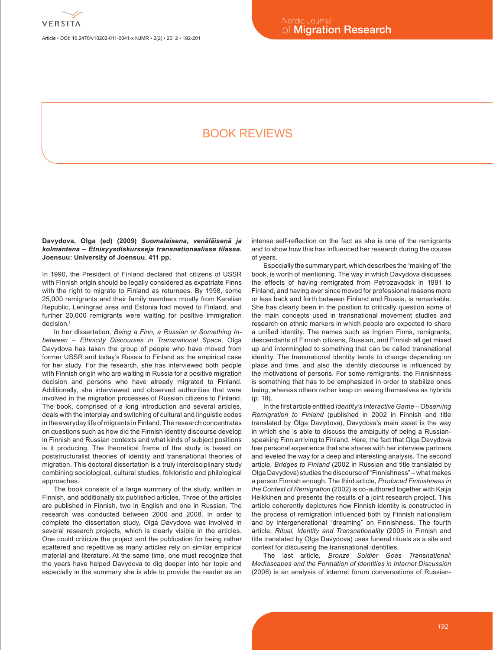

Article • DOI: 10.2478/v10202-011-0041-x NJMR • 2(2) • 2012 • 192-201

# Book reviews

**Davydova, Olga (ed) (2009)** *Suomalaisena, venäläisenä ja kolmantena – Etnisyysdiskursseja transnationaalissa tilassa.* **Joensuu: University of Joensuu. 411 pp.**

In 1990, the President of Finland declared that citizens of USSR with Finnish origin should be legally considered as expatriate Finns with the right to migrate to Finland as returnees. By 1998, some 25,000 remigrants and their family members mostly from Karelian Republic, Leningrad area and Estonia had moved to Finland, and further 20,000 remigrants were waiting for positive immigration decision<sup>1</sup>

In her dissertation, *Being a Finn, a Russian or Something Inbetween – Ethnicity Discourses in Transnational Space*, Olga Davydova has taken the group of people who have moved from former USSR and today's Russia to Finland as the empirical case for her study. For the research, she has interviewed both people with Finnish origin who are waiting in Russia for a positive migration decision and persons who have already migrated to Finland. Additionally, she interviewed and observed authorities that were involved in the migration processes of Russian citizens to Finland. The book, comprised of a long introduction and several articles, deals with the interplay and switching of cultural and linguistic codes in the everyday life of migrants in Finland. The research concentrates on questions such as how did the Finnish identity discourse develop in Finnish and Russian contexts and what kinds of subject positions is it producing. The theoretical frame of the study is based on poststructuralist theories of identity and transnational theories of migration. This doctoral dissertation is a truly interdisciplinary study combining sociological, cultural studies, folkloristic and philological approaches.

The book consists of a large summary of the study, written in Finnish, and additionally six published articles. Three of the articles are published in Finnish, two in English and one in Russian. The research was conducted between 2000 and 2008. In order to complete the dissertation study, Olga Davydova was involved in several research projects, which is clearly visible in the articles. One could criticize the project and the publication for being rather scattered and repetitive as many articles rely on similar empirical material and literature. At the same time, one must recognize that the years have helped Davydova to dig deeper into her topic and especially in the summary she is able to provide the reader as an

intense self-reflection on the fact as she is one of the remigrants and to show how this has influenced her research during the course of years.

Especially the summary part, which describes the "making of" the book, is worth of mentioning. The way in which Davydova discusses the effects of having remigrated from Petrozavodsk in 1991 to Finland, and having ever since moved for professional reasons more or less back and forth between Finland and Russia, is remarkable. She has clearly been in the position to critically question some of the main concepts used in transnational movement studies and research on ethnic markers in which people are expected to share a unified identity. The names such as Ingrian Finns, remigrants, descendants of Finnish citizens, Russian, and Finnish all get mixed up and intermingled to something that can be called transnational identity. The transnational identity tends to change depending on place and time, and also the identity discourse is influenced by the motivations of persons. For some remigrants, the Finnishness is something that has to be emphasized in order to stabilize ones being, whereas others rather keep on seeing themselves as hybrids (p. 18).

In the first article entitled *Identity's Interactive Game – Observing Remigration to Finland* (published in 2002 in Finnish and title translated by Olga Davydova), Davydova's main asset is the way in which she is able to discuss the ambiguity of being a Russianspeaking Finn arriving to Finland. Here, the fact that Olga Davydova has personal experience that she shares with her interview partners and leveled the way for a deep and interesting analysis. The second article, *Bridges to Finland* (2002 in Russian and title translated by Olga Davydova) studies the discourse of "Finnishness" – what makes a person Finnish enough. The third article, *Produced Finnishness in the Context of Remigration* (2002) is co-authored together with Kaija Heikkinen and presents the results of a joint research project. This article coherently depictures how Finnish identity is constructed in the process of remigration influenced both by Finnish nationalism and by intergenerational "dreaming" on Finnishness. The fourth article, *Ritual, Identity and Transnationality* (2005 in Finnish and title translated by Olga Davydova) uses funeral rituals as a site and context for discussing the transnational identities.

The last article*, Bronze Soldier Goes Transnational: Mediascapes and the Formation of Identities in Internet Discussion* (2008) is an analysis of internet forum conversations of Russian-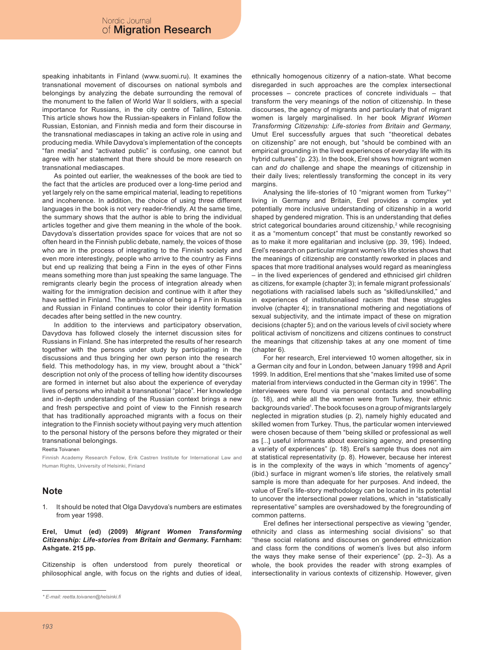speaking inhabitants in Finland (www.suomi.ru). It examines the transnational movement of discourses on national symbols and belongings by analyzing the debate surrounding the removal of the monument to the fallen of World War II soldiers, with a special importance for Russians, in the city centre of Tallinn, Estonia. This article shows how the Russian-speakers in Finland follow the Russian, Estonian, and Finnish media and form their discourse in the transnational mediascapes in taking an active role in using and producing media. While Davydova's implementation of the concepts "fan media" and "activated public" is confusing, one cannot but agree with her statement that there should be more research on transnational mediascapes.

As pointed out earlier, the weaknesses of the book are tied to the fact that the articles are produced over a long-time period and yet largely rely on the same empirical material, leading to repetitions and incoherence. In addition, the choice of using three different languages in the book is not very reader-friendly. At the same time, the summary shows that the author is able to bring the individual articles together and give them meaning in the whole of the book. Davydova's dissertation provides space for voices that are not so often heard in the Finnish public debate, namely, the voices of those who are in the process of integrating to the Finnish society and even more interestingly, people who arrive to the country as Finns but end up realizing that being a Finn in the eyes of other Finns means something more than just speaking the same language. The remigrants clearly begin the process of integration already when waiting for the immigration decision and continue with it after they have settled in Finland. The ambivalence of being a Finn in Russia and Russian in Finland continues to color their identity formation decades after being settled in the new country.

In addition to the interviews and participatory observation, Davydova has followed closely the internet discussion sites for Russians in Finland. She has interpreted the results of her research together with the persons under study by participating in the discussions and thus bringing her own person into the research field. This methodology has, in my view, brought about a "thick" description not only of the process of telling how identity discourses are formed in internet but also about the experience of everyday lives of persons who inhabit a transnational "place". Her knowledge and in-depth understanding of the Russian context brings a new and fresh perspective and point of view to the Finnish research that has traditionally approached migrants with a focus on their integration to the Finnish society without paying very much attention to the personal history of the persons before they migrated or their transnational belongings.

Reetta Toivanen

Finnish Academy Research Fellow, Erik Castren Institute for International Law and Human Rights, University of Helsinki, Finland

## **Note**

It should be noted that Olga Davydova's numbers are estimates from year 1998.

**Erel, Umut (ed) (2009)** *Migrant Women Transforming Citizenship: Life-stories from Britain and Germany.* **Farnham: Ashgate. 215 pp.**

Citizenship is often understood from purely theoretical or philosophical angle, with focus on the rights and duties of ideal, ethnically homogenous citizenry of a nation-state. What become disregarded in such approaches are the complex intersectional processes – concrete practices of concrete individuals – that transform the very meanings of the notion of citizenship. In these discourses, the agency of migrants and particularly that of migrant women is largely marginalised. In her book *Migrant Women Transforming Citizenship: Life-stories from Britain and Germany*, Umut Erel successfully argues that such "theoretical debates on citizenship" are not enough, but "should be combined with an empirical grounding in the lived experiences of everyday life with its hybrid cultures" (p. 23). In the book, Erel shows how migrant women can *and do* challenge and shape the meanings of citizenship in their daily lives; relentlessly transforming the concept in its very margins.

Analysing the life-stories of 10 "migrant women from Turkey"1 living in Germany and Britain, Erel provides a complex yet potentially more inclusive understanding of citizenship in a world shaped by gendered migration. This is an understanding that defies strict categorical boundaries around citizenship,<sup>2</sup> while recognising it as a "momentum concept" that must be constantly reworked so as to make it more egalitarian and inclusive (pp. 39, 196). Indeed, Erel's research on particular migrant women's life stories shows that the meanings of citizenship are constantly reworked in places and spaces that more traditional analyses would regard as meaningless – in the lived experiences of gendered and ethnicised girl children as citizens, for example (chapter 3); in female migrant professionals' negotiations with racialised labels such as "skilled/unskilled," and in experiences of institutionalised racism that these struggles involve (chapter 4); in transnational mothering and negotiations of sexual subjectivity, and the intimate impact of these on migration decisions (chapter 5); and on the various levels of civil society where political activism of noncitizens and citizens continues to construct the meanings that citizenship takes at any one moment of time (chapter 6).

For her research, Erel interviewed 10 women altogether, six in a German city and four in London, between January 1998 and April 1999. In addition, Erel mentions that she "makes limited use of some material from interviews conducted in the German city in 1996". The interviewees were found via personal contacts and snowballing (p. 18), and while all the women were from Turkey, their ethnic backgrounds varied<sup>1</sup>. The book focuses on a group of migrants largely neglected in migration studies (p. 2), namely highly educated and skilled women from Turkey. Thus, the particular women interviewed were chosen because of them "being skilled or professional as well as [...] useful informants about exercising agency, and presenting a variety of experiences" (p. 18). Erel's sample thus does not aim at statistical representativity (p. 8). However, because her interest is in the complexity of the ways in which "moments of agency" (ibid.) surface in migrant women's life stories, the relatively small sample is more than adequate for her purposes. And indeed, the value of Erel's life-story methodology can be located in its potential to uncover the intersectional power relations, which in "statistically representative" samples are overshadowed by the foregrounding of common patterns.

Erel defines her intersectional perspective as viewing "gender, ethnicity and class as intermeshing social divisions" so that "these social relations and discourses on gendered ethnicization and class form the conditions of women's lives but also inform the ways they make sense of their experience" (pp. 2–3). As a whole, the book provides the reader with strong examples of intersectionality in various contexts of citizenship. However, given

*<sup>\*</sup> E-mail: reetta.toivanen@helsinki.fi*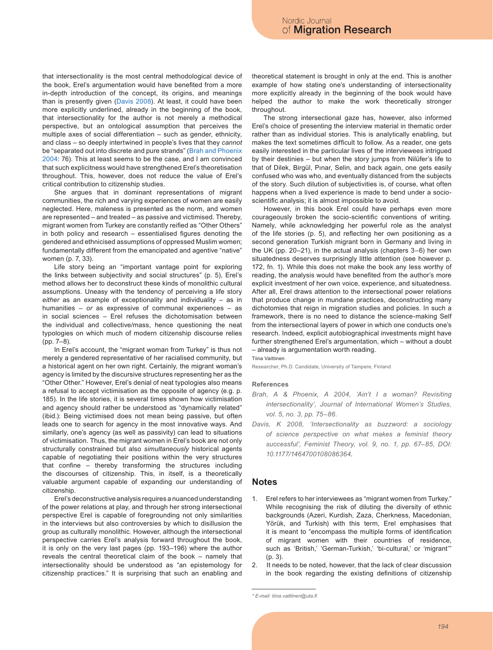that intersectionality is the most central methodological device of the book, Erel's argumentation would have benefited from a more in-depth introduction of the concept, its origins, and meanings than is presently given ([Davis 2008](#page-2-0)). At least, it could have been more explicitly underlined, already in the beginning of the book, that intersectionality for the author is not merely a methodical perspective, but an ontological assumption that perceives the multiple axes of social differentiation – such as gender, ethnicity, and class – so deeply intertwined in people's lives that they *cannot* be "separated out into discrete and pure strands" ([Brah and Phoenix](#page-2-1) [2004:](#page-2-1) 76). This at least seems to be the case, and I am convinced that such explicitness would have strengthened Erel's theoretisation throughout. This, however, does not reduce the value of Erel's critical contribution to citizenship studies.

She argues that in dominant representations of migrant communities, the rich and varying experiences of women are easily neglected. Here, maleness is presented as the norm, and women are represented – and treated – as passive and victimised. Thereby, migrant women from Turkey are constantly reified as "Other Others" in both policy and research – essentialised figures denoting the gendered and ethnicised assumptions of oppressed Muslim women; fundamentally different from the emancipated and agentive "native" women (p. 7, 33).

Life story being an "important vantage point for exploring the links between subjectivity and social structures" (p. 5), Erel's method allows her to deconstruct these kinds of monolithic cultural assumptions. Uneasy with the tendency of perceiving a life story *either* as an example of exceptionality and individuality – as in humanities – *or* as expressive of communal experiences – as in social sciences – Erel refuses the dichotomisation between the individual and collective/mass, hence questioning the neat typologies on which much of modern citizenship discourse relies (pp. 7–8).

In Erel's account, the "migrant woman from Turkey" is thus not merely a gendered representative of her racialised community, but a historical agent on her own right. Certainly, the migrant woman's agency is limited by the discursive structures representing her as the "Other Other." However, Erel's denial of neat typologies also means a refusal to accept victimisation as the opposite of agency (e.g. p. 185). In the life stories, it is several times shown how victimisation and agency should rather be understood as "dynamically related" (ibid.): Being victimised does not mean being passive, but often leads one to search for agency in the most innovative ways. And similarly, one's agency (as well as passivity) can lead to situations of victimisation. Thus, the migrant women in Erel's book are not only structurally constrained but also *simultaneously* historical agents capable of negotiating their positions within the very structures that confine – thereby transforming the structures including the discourses of citizenship. This, in itself, is a theoretically valuable argument capable of expanding our understanding of citizenship.

Erel's deconstructive analysis requires a nuanced understanding of the power relations at play, and through her strong intersectional perspective Erel is capable of foregrounding not only similarities in the interviews but also controversies by which to disillusion the group as culturally monolithic. However, although the intersectional perspective carries Erel's analysis forward throughout the book, it is only on the very last pages (pp. 193–196) where the author reveals the central theoretical claim of the book – namely that intersectionality should be understood as "an epistemology for citizenship practices." It is surprising that such an enabling and theoretical statement is brought in only at the end. This is another example of how stating one's understanding of intersectionality more explicitly already in the beginning of the book would have helped the author to make the work theoretically stronger throughout.

The strong intersectional gaze has, however, also informed Erel's choice of presenting the interview material in thematic order rather than as individual stories. This is analytically enabling, but makes the text sometimes difficult to follow. As a reader, one gets easily interested in the particular lives of the interviewees intrigued by their destinies – but when the story jumps from Nilüfer's life to that of Dilek, Birgül, Pınar, Selin, and back again, one gets easily confused who was who, and eventually distanced from the subjects of the story. Such dilution of subjectivities is, of course, what often happens when a lived experience is made to bend under a socioscientific analysis; it is almost impossible to avoid.

However, in this book Erel could have perhaps even more courageously broken the socio-scientific conventions of writing. Namely, while acknowledging her powerful role as the analyst of the life stories (p. 5), and reflecting her own positioning as a second generation Turkish migrant born in Germany and living in the UK (pp. 20–21), in the actual analysis (chapters 3–6) her own situatedness deserves surprisingly little attention (see however p. 172, fn. 1). While this does not make the book any less worthy of reading, the analysis would have benefited from the author's more explicit investment of her own voice, experience, and situatedness. After all, Erel draws attention to the intersectional power relations that produce change in mundane practices, deconstructing many dichotomies that reign in migration studies and policies. In such a framework, there is no need to distance the science-making Self from the intersectional layers of power in which one conducts one's research. Indeed, explicit autobiographical investments might have further strengthened Erel's argumentation, which – without a doubt – already is argumentation worth reading.

Tiina Vaittinen

Researcher, Ph.D. Candidate, University of Tampere, Finland

#### **References**

- <span id="page-2-1"></span>Brah, A & Phoenix, A 2004, 'Ain't I a woman? Revisiting *intersectionality', Journal of International Women's Studies, vol. 5, no. 3, pp. 75–86.*
- <span id="page-2-0"></span>*Davis, K 2008, 'Intersectionality as buzzword: a sociology of science perspective on what makes a feminist theory successful', Feminist Theory, vol. 9, no. 1, pp. 67–85, DOI: 10.1177/1464700108086364.*

### **Notes**

- 1. Erel refers to her interviewees as "migrant women from Turkey." While recognising the risk of diluting the diversity of ethnic backgrounds (Azeri, Kurdish, Zaza, Cherkness, Macedonian, Yörük, and Turkish) with this term, Erel emphasises that it is meant to "encompass the multiple forms of identification of migrant women with their countries of residence, such as 'British,' 'German-Turkish,' 'bi-cultural,' or 'migrant'" (p. 3).
- 2. It needs to be noted, however, that the lack of clear discussion in the book regarding the existing definitions of citizenship

*<sup>\*</sup> E-mail: tiina.vaittinen@uta.fi*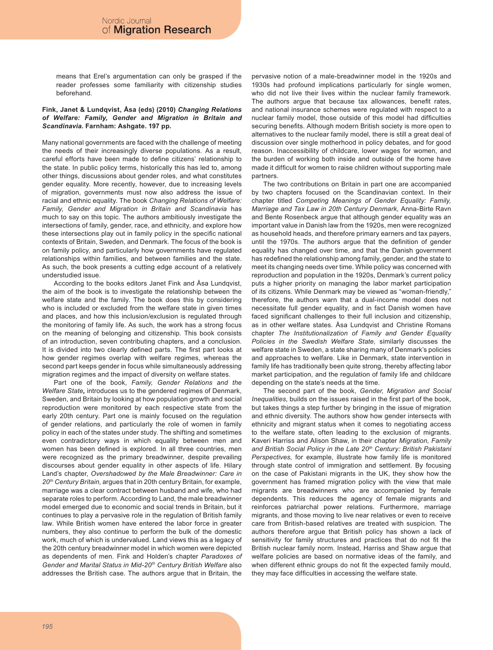means that Erel's argumentation can only be grasped if the reader professes some familiarity with citizenship studies beforehand.

#### **Fink, Janet & Lundqvist, Åsa (eds) (2010)** *Changing Relations of Welfare: Family, Gender and Migration in Britain and Scandinavia.* **Farnham: Ashgate. 197 pp.**

Many national governments are faced with the challenge of meeting the needs of their increasingly diverse populations. As a result, careful efforts have been made to define citizens' relationship to the state. In public policy terms, historically this has led to, among other things, discussions about gender roles, and what constitutes gender equality. More recently, however, due to increasing levels of migration, governments must now also address the issue of racial and ethnic equality. The book *Changing Relations of Welfare: Family, Gender and Migration in Britain and Scandinavia* has much to say on this topic. The authors ambitiously investigate the intersections of family, gender, race, and ethnicity, and explore how these intersections play out in family policy in the specific national contexts of Britain, Sweden, and Denmark. The focus of the book is on family policy, and particularly how governments have regulated relationships within families, and between families and the state. As such, the book presents a cutting edge account of a relatively understudied issue.

According to the books editors Janet Fink and Åsa Lundqvist, the aim of the book is to investigate the relationship between the welfare state and the family. The book does this by considering who is included or excluded from the welfare state in given times and places, and how this inclusion/exclusion is regulated through the monitoring of family life. As such, the work has a strong focus on the meaning of belonging and citizenship. This book consists of an introduction, seven contributing chapters, and a conclusion. It is divided into two clearly defined parts. The first part looks at how gender regimes overlap with welfare regimes, whereas the second part keeps gender in focus while simultaneously addressing migration regimes and the impact of diversity on welfare states.

Part one of the book, *Family, Gender Relations and the Welfare State,* introduces us to the gendered regimes of Denmark, Sweden, and Britain by looking at how population growth and social reproduction were monitored by each respective state from the early 20th century. Part one is mainly focused on the regulation of gender relations, and particularly the role of women in family policy in each of the states under study. The shifting and sometimes even contradictory ways in which equality between men and women has been defined is explored. In all three countries, men were recognized as the primary breadwinner, despite prevailing discourses about gender equality in other aspects of life. Hilary Land's chapter, *Overshadowed by the Male Breadwinner: Care in 20th Century Britain*, argues that in 20th century Britain, for example, marriage was a clear contract between husband and wife, who had separate roles to perform. According to Land, the male breadwinner model emerged due to economic and social trends in Britain, but it continues to play a pervasive role in the regulation of British family law. While British women have entered the labor force in greater numbers, they also continue to perform the bulk of the domestic work, much of which is undervalued. Land views this as a legacy of the 20th century breadwinner model in which women were depicted as dependents of men. Fink and Holden's chapter *Paradoxes of Gender and Marital Status in Mid-20th Century British Welfare* also addresses the British case. The authors argue that in Britain, the

pervasive notion of a male-breadwinner model in the 1920s and 1930s had profound implications particularly for single women, who did not live their lives within the nuclear family framework. The authors argue that because tax allowances, benefit rates, and national insurance schemes were regulated with respect to a nuclear family model, those outside of this model had difficulties securing benefits. Although modern British society is more open to alternatives to the nuclear family model, there is still a great deal of discussion over single motherhood in policy debates, and for good reason. Inaccessibility of childcare, lower wages for women, and the burden of working both inside and outside of the home have made it difficult for women to raise children without supporting male partners.

The two contributions on Britain in part one are accompanied by two chapters focused on the Scandinavian context. In their chapter titled *Competing Meanings of Gender Equality: Family, Marriage and Tax Law in 20th Century Denmark,* Anna-Birte Ravn and Bente Rosenbeck argue that although gender equality was an important value in Danish law from the 1920s, men were recognized as household heads, and therefore primary earners and tax payers, until the 1970s. The authors argue that the definition of gender equality has changed over time, and that the Danish government has redefined the relationship among family, gender, and the state to meet its changing needs over time. While policy was concerned with reproduction and population in the 1920s, Denmark's current policy puts a higher priority on managing the labor market participation of its citizens. While Denmark may be viewed as "woman-friendly," therefore, the authors warn that a dual-income model does not necessitate full gender equality, and in fact Danish women have faced significant challenges to their full inclusion and citizenship, as in other welfare states. Åsa Lundqvist and Christine Romans chapter *The Institutionalization of Family and Gender Equality Policies in the Swedish Welfare State,* similarly discusses the welfare state in Sweden, a state sharing many of Denmark's policies and approaches to welfare. Like in Denmark, state intervention in family life has traditionally been quite strong, thereby affecting labor market participation, and the regulation of family life and childcare depending on the state's needs at the time.

The second part of the book, *Gender, Migration and Social Inequalities*, builds on the issues raised in the first part of the book, but takes things a step further by bringing in the issue of migration and ethnic diversity. The authors show how gender intersects with ethnicity and migrant status when it comes to negotiating access to the welfare state, often leading to the exclusion of migrants. Kaveri Harriss and Alison Shaw, in their chapter *Migration, Family and British Social Policy in the Late 20th Century: British Pakistani Perspectives*, for example, illustrate how family life is monitored through state control of immigration and settlement. By focusing on the case of Pakistani migrants in the UK, they show how the government has framed migration policy with the view that male migrants are breadwinners who are accompanied by female dependents. This reduces the agency of female migrants and reinforces patriarchal power relations. Furthermore, marriage migrants, and those moving to live near relatives or even to receive care from British-based relatives are treated with suspicion. The authors therefore argue that British policy has shown a lack of sensitivity for family structures and practices that do not fit the British nuclear family norm. Instead, Harriss and Shaw argue that welfare policies are based on normative ideas of the family, and when different ethnic groups do not fit the expected family mould, they may face difficulties in accessing the welfare state.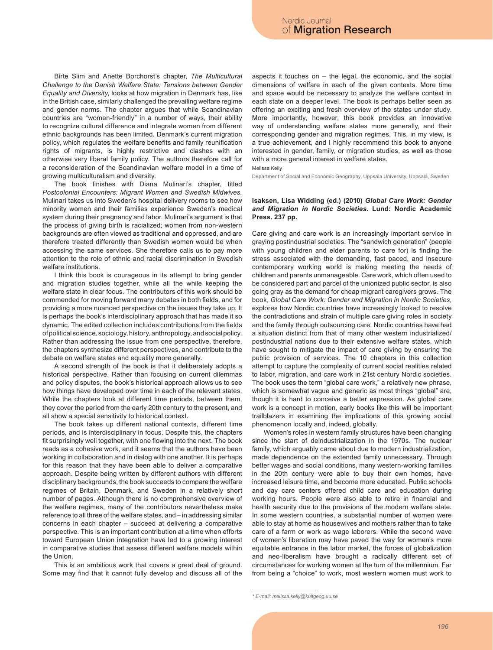Birte Siim and Anette Borchorst's chapter, *The Multicultural Challenge to the Danish Welfare State: Tensions between Gender Equality and Diversity*, looks at how migration in Denmark has, like in the British case, similarly challenged the prevailing welfare regime and gender norms. The chapter argues that while Scandinavian countries are "women-friendly" in a number of ways, their ability to recognize cultural difference and integrate women from different ethnic backgrounds has been limited. Denmark's current migration policy, which regulates the welfare benefits and family reunification rights of migrants, is highly restrictive and clashes with an otherwise very liberal family policy. The authors therefore call for a reconsideration of the Scandinavian welfare model in a time of growing multiculturalism and diversity.

The book finishes with Diana Mulinari's chapter, titled *Postcolonial Encounters: Migrant Women and Swedish Midwives.*  Mulinari takes us into Sweden's hospital delivery rooms to see how minority women and their families experience Sweden's medical system during their pregnancy and labor. Mulinari's argument is that the process of giving birth is racialized; women from non-western backgrounds are often viewed as traditional and oppressed, and are therefore treated differently than Swedish women would be when accessing the same services. She therefore calls us to pay more attention to the role of ethnic and racial discrimination in Swedish welfare institutions.

I think this book is courageous in its attempt to bring gender and migration studies together, while all the while keeping the welfare state in clear focus. The contributors of this work should be commended for moving forward many debates in both fields, and for providing a more nuanced perspective on the issues they take up. It is perhaps the book's interdisciplinary approach that has made it so dynamic. The edited collection includes contributions from the fields of political science, sociology, history, anthropology, and social policy. Rather than addressing the issue from one perspective, therefore, the chapters synthesize different perspectives, and contribute to the debate on welfare states and equality more generally.

A second strength of the book is that it deliberately adopts a historical perspective. Rather than focusing on current dilemmas and policy disputes, the book's historical approach allows us to see how things have developed over time in each of the relevant states. While the chapters look at different time periods, between them, they cover the period from the early 20th century to the present, and all show a special sensitivity to historical context.

The book takes up different national contexts, different time periods, and is interdisciplinary in focus. Despite this, the chapters fit surprisingly well together, with one flowing into the next. The book reads as a cohesive work, and it seems that the authors have been working in collaboration and in dialog with one another. It is perhaps for this reason that they have been able to deliver a comparative approach. Despite being written by different authors with different disciplinary backgrounds, the book succeeds to compare the welfare regimes of Britain, Denmark, and Sweden in a relatively short number of pages. Although there is no comprehensive overview of the welfare regimes, many of the contributors nevertheless make reference to all three of the welfare states, and – in addressing similar concerns in each chapter – succeed at delivering a comparative perspective. This is an important contribution at a time when efforts toward European Union integration have led to a growing interest in comparative studies that assess different welfare models within the Union.

This is an ambitious work that covers a great deal of ground. Some may find that it cannot fully develop and discuss all of the aspects it touches on – the legal, the economic, and the social dimensions of welfare in each of the given contexts. More time and space would be necessary to analyze the welfare context in each state on a deeper level. The book is perhaps better seen as offering an exciting and fresh overview of the states under study. More importantly, however, this book provides an innovative way of understanding welfare states more generally, and their corresponding gender and migration regimes. This, in my view, is a true achievement, and I highly recommend this book to anyone interested in gender, family, or migration studies, as well as those with a more general interest in welfare states.

Melissa Kelly

Department of Social and Economic Geography, Uppsala University, Uppsala, Sweden

### **Isaksen, Lisa Widding (ed.) (2010)** *Global Care Work: Gender and Migration in Nordic Societies.* **Lund: Nordic Academic Press. 237 pp.**

Care giving and care work is an increasingly important service in graying postindustrial societies. The "sandwich generation" (people with young children and elder parents to care for) is finding the stress associated with the demanding, fast paced, and insecure contemporary working world is making meeting the needs of children and parents unmanageable. Care work, which often used to be considered part and parcel of the unionized public sector, is also going gray as the demand for cheap migrant caregivers grows. The book, *Global Care Work: Gender and Migration in Nordic Societies*, explores how Nordic countries have increasingly looked to resolve the contradictions and strain of multiple care giving roles in society and the family through outsourcing care. Nordic countries have had a situation distinct from that of many other western industrialized/ postindustrial nations due to their extensive welfare states, which have sought to mitigate the impact of care giving by ensuring the public provision of services. The 10 chapters in this collection attempt to capture the complexity of current social realities related to labor, migration, and care work in 21st century Nordic societies. The book uses the term "global care work," a relatively new phrase, which is somewhat vague and generic as most things "global" are, though it is hard to conceive a better expression. As global care work is a concept in motion, early books like this will be important trailblazers in examining the implications of this growing social phenomenon locally and, indeed, globally.

Women's roles in western family structures have been changing since the start of deindustrialization in the 1970s. The nuclear family, which arguably came about due to modern industrialization, made dependence on the extended family unnecessary. Through better wages and social conditions, many western-working families in the 20th century were able to buy their own homes, have increased leisure time, and become more educated. Public schools and day care centers offered child care and education during working hours. People were also able to retire in financial and health security due to the provisions of the modern welfare state. In some western countries, a substantial number of women were able to stay at home as housewives and mothers rather than to take care of a farm or work as wage laborers. While the second wave of women's liberation may have paved the way for women's more equitable entrance in the labor market, the forces of globalization and neo-liberalism have brought a radically different set of circumstances for working women at the turn of the millennium. Far from being a "choice" to work, most western women must work to

*<sup>\*</sup> E-mail: melissa.kelly@kultgeog.uu.se*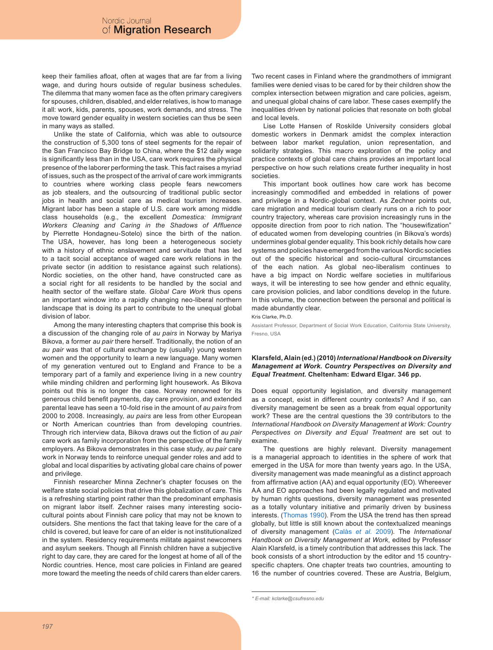keep their families afloat, often at wages that are far from a living wage, and during hours outside of regular business schedules. The dilemma that many women face as the often primary caregivers for spouses, children, disabled, and elder relatives, is how to manage it all: work, kids, parents, spouses, work demands, and stress. The move toward gender equality in western societies can thus be seen in many ways as stalled.

Unlike the state of California, which was able to outsource the construction of 5,300 tons of steel segments for the repair of the San Francisco Bay Bridge to China, where the \$12 daily wage is significantly less than in the USA, care work requires the physical presence of the laborer performing the task. This fact raises a myriad of issues, such as the prospect of the arrival of care work immigrants to countries where working class people fears newcomers as job stealers, and the outsourcing of traditional public sector jobs in health and social care as medical tourism increases. Migrant labor has been a staple of U.S. care work among middle class households (e.g., the excellent *Domestica: Immigrant Workers Cleaning and Caring in the Shadows of Affluence* by Pierrette Hondagneu-Sotelo) since the birth of the nation. The USA, however, has long been a heterogeneous society with a history of ethnic enslavement and servitude that has led to a tacit social acceptance of waged care work relations in the private sector (in addition to resistance against such relations). Nordic societies, on the other hand, have constructed care as a social right for all residents to be handled by the social and health sector of the welfare state. *Global Care Work* thus opens an important window into a rapidly changing neo-liberal northern landscape that is doing its part to contribute to the unequal global division of labor.

Among the many interesting chapters that comprise this book is a discussion of the changing role of *au pairs* in Norway by Mariya Bikova, a former *au pair* there herself. Traditionally, the notion of an *au pair* was that of cultural exchange by (usually) young western women and the opportunity to learn a new language. Many women of my generation ventured out to England and France to be a temporary part of a family and experience living in a new country while minding children and performing light housework. As Bikova points out this is no longer the case. Norway renowned for its generous child benefit payments, day care provision, and extended parental leave has seen a 10-fold rise in the amount of *au pairs* from 2000 to 2008. Increasingly, *au pairs* are less from other European or North American countries than from developing countries. Through rich interview data, Bikova draws out the fiction of *au pair* care work as family incorporation from the perspective of the family employers. As Bikova demonstrates in this case study, *au pair* care work in Norway tends to reinforce unequal gender roles and add to global and local disparities by activating global care chains of power and privilege.

Finnish researcher Minna Zechner's chapter focuses on the welfare state social policies that drive this globalization of care. This is a refreshing starting point rather than the predominant emphasis on migrant labor itself. Zechner raises many interesting sociocultural points about Finnish care policy that may not be known to outsiders. She mentions the fact that taking leave for the care of a child is covered, but leave for care of an elder is not institutionalized in the system. Residency requirements militate against newcomers and asylum seekers. Though all Finnish children have a subjective right to day care, they are cared for the longest at home of all of the Nordic countries. Hence, most care policies in Finland are geared more toward the meeting the needs of child carers than elder carers.

Two recent cases in Finland where the grandmothers of immigrant families were denied visas to be cared for by their children show the complex intersection between migration and care policies, ageism, and unequal global chains of care labor. These cases exemplify the inequalities driven by national policies that resonate on both global and local levels.

Lise Lotte Hansen of Roskilde University considers global domestic workers in Denmark amidst the complex interaction between labor market regulation, union representation, and solidarity strategies. This macro exploration of the policy and practice contexts of global care chains provides an important local perspective on how such relations create further inequality in host societies.

This important book outlines how care work has become increasingly commodified and embedded in relations of power and privilege in a Nordic-global context. As Zechner points out, care migration and medical tourism clearly runs on a rich to poor country trajectory, whereas care provision increasingly runs in the opposite direction from poor to rich nation. The "housewifization" of educated women from developing countries (in Bikova's words) undermines global gender equality. This book richly details how care systems and policies have emerged from the various Nordic societies out of the specific historical and socio-cultural circumstances of the each nation. As global neo-liberalism continues to have a big impact on Nordic welfare societies in multifarious ways, it will be interesting to see how gender and ethnic equality, care provision policies, and labor conditions develop in the future. In this volume, the connection between the personal and political is made abundantly clear.

Kris Clarke, Ph.D.

Assistant Professor, Department of Social Work Education, California State University, Fresno, USA

#### **Klarsfeld, Alain (ed.) (2010)***International Handbook on Diversity Management at Work. Country Perspectives on Diversity and Equal Treatment.* **Cheltenham: Edward Elgar. 346 pp.**

Does equal opportunity legislation, and diversity management as a concept, exist in different country contexts? And if so, can diversity management be seen as a break from equal opportunity work? These are the central questions the 39 contributors to the *International Handbook on Diversity Management at Work: Country Perspectives on Diversity and Equal Treatment* are set out to examine.

The questions are highly relevant. Diversity management is a managerial approach to identities in the sphere of work that emerged in the USA for more than twenty years ago. In the USA, diversity management was made meaningful as a distinct approach from affirmative action (AA) and equal opportunity (EO). Whereever AA and EO approaches had been legally regulated and motivated by human rights questions, diversity management was presented as a totally voluntary initiative and primarily driven by business interests. [\(Thomas 1990\)](#page-7-0). From the USA the trend has then spread globally, but little is still known about the contextualized meanings of diversity management [\(Calàs](#page-7-1) *et al.* 2009). The *International Handbook on Diversity Management at Work*, edited by Professor Alain Klarsfeld, is a timely contribution that addresses this lack. The book consists of a short introduction by the editor and 15 countryspecific chapters. One chapter treats two countries, amounting to 16 the number of countries covered. These are Austria, Belgium,

*<sup>\*</sup> E-mail: kclarke@csufresno.edu*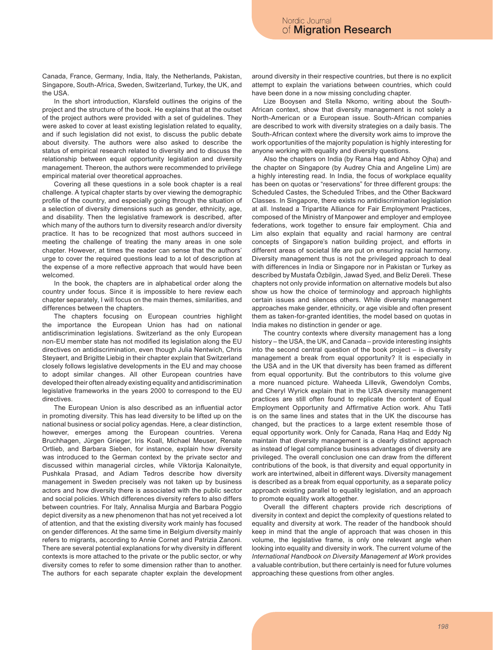Canada, France, Germany, India, Italy, the Netherlands, Pakistan, Singapore, South-Africa, Sweden, Switzerland, Turkey, the UK, and the USA.

In the short introduction, Klarsfeld outlines the origins of the project and the structure of the book. He explains that at the outset of the project authors were provided with a set of guidelines. They were asked to cover at least existing legislation related to equality, and if such legislation did not exist, to discuss the public debate about diversity. The authors were also asked to describe the status of empirical research related to diversity and to discuss the relationship between equal opportunity legislation and diversity management. Thereon, the authors were recommended to privilege empirical material over theoretical approaches.

Covering all these questions in a sole book chapter is a real challenge. A typical chapter starts by over viewing the demographic profile of the country, and especially going through the situation of a selection of diversity dimensions such as gender, ethnicity, age, and disability. Then the legislative framework is described, after which many of the authors turn to diversity research and/or diversity practice. It has to be recognized that most authors succeed in meeting the challenge of treating the many areas in one sole chapter. However, at times the reader can sense that the authors' urge to cover the required questions lead to a lot of description at the expense of a more reflective approach that would have been welcomed.

In the book, the chapters are in alphabetical order along the country under focus. Since it is impossible to here review each chapter separately, I will focus on the main themes, similarities, and differences between the chapters.

The chapters focusing on European countries highlight the importance the European Union has had on national antidiscrimination legislations. Switzerland as the only European non-EU member state has not modified its legislation along the EU directives on antidiscrimination, even though Julia Nentwich, Chris Steyaert, and Brigitte Liebig in their chapter explain that Switzerland closely follows legislative developments in the EU and may choose to adopt similar changes. All other European countries have developed their often already existing equality and antidiscrimination legislative frameworks in the years 2000 to correspond to the EU directives.

The European Union is also described as an influential actor in promoting diversity. This has lead diversity to be lifted up on the national business or social policy agendas. Here, a clear distinction, however, emerges among the European countries. Verena Bruchhagen, Jürgen Grieger, Iris Koall, Michael Meuser, Renate Ortlieb, and Barbara Sieben, for instance, explain how diversity was introduced to the German context by the private sector and discussed within managerial circles, while Viktorija Kalonaityte, Pushkala Prasad, and Adiam Tedros describe how diversity management in Sweden precisely was not taken up by business actors and how diversity there is associated with the public sector and social policies. Which differences diversity refers to also differs between countries. For Italy, Annalisa Murgia and Barbara Poggio depict diversity as a new phenomenon that has not yet received a lot of attention, and that the existing diversity work mainly has focused on gender differences. At the same time in Belgium diversity mainly refers to migrants, according to Annie Cornet and Patrizia Zanoni. There are several potential explanations for why diversity in different contexts is more attached to the private or the public sector, or why diversity comes to refer to some dimension rather than to another. The authors for each separate chapter explain the development around diversity in their respective countries, but there is no explicit attempt to explain the variations between countries, which could have been done in a now missing concluding chapter.

Lize Booysen and Stella Nkomo, writing about the South-African context, show that diversity management is not solely a North-American or a European issue. South-African companies are described to work with diversity strategies on a daily basis. The South-African context where the diversity work aims to improve the work opportunities of the majority population is highly interesting for anyone working with equality and diversity questions.

Also the chapters on India (by Rana Haq and Abhoy Ojha) and the chapter on Singapore (by Audrey Chia and Angeline Lim) are a highly interesting read. In India, the focus of workplace equality has been on quotas or "reservations" for three different groups: the Scheduled Castes, the Scheduled Tribes, and the Other Backward Classes. In Singapore, there exists no antidiscrimination legislation at all. Instead a Tripartite Alliance for Fair Employment Practices, composed of the Ministry of Manpower and employer and employee federations, work together to ensure fair employment. Chia and Lim also explain that equality and racial harmony are central concepts of Singapore's nation building project, and efforts in different areas of societal life are put on ensuring racial harmony. Diversity management thus is not the privileged approach to deal with differences in India or Singapore nor in Pakistan or Turkey as described by Mustafa Özbilgin, Jawad Syed, and Beliz Dereli. These chapters not only provide information on alternative models but also show us how the choice of terminology and approach highlights certain issues and silences others. While diversity management approaches make gender, ethnicity, or age visible and often present them as taken-for-granted identities, the model based on quotas in India makes no distinction in gender or age.

The country contexts where diversity management has a long history – the USA, the UK, and Canada – provide interesting insights into the second central question of the book project – is diversity management a break from equal opportunity? It is especially in the USA and in the UK that diversity has been framed as different from equal opportunity. But the contributors to this volume give a more nuanced picture. Waheeda Lillevik, Gwendolyn Combs, and Cheryl Wyrick explain that in the USA diversity management practices are still often found to replicate the content of Equal Employment Opportunity and Affirmative Action work. Ahu Tatli is on the same lines and states that in the UK the discourse has changed, but the practices to a large extent resemble those of equal opportunity work. Only for Canada, Rana Haq and Eddy Ng maintain that diversity management is a clearly distinct approach as instead of legal compliance business advantages of diversity are privileged. The overall conclusion one can draw from the different contributions of the book, is that diversity and equal opportunity in work are intertwined, albeit in different ways. Diversity management is described as a break from equal opportunity, as a separate policy approach existing parallel to equality legislation, and an approach to promote equality work altogether.

Overall the different chapters provide rich descriptions of diversity in context and depict the complexity of questions related to equality and diversity at work. The reader of the handbook should keep in mind that the angle of approach that was chosen in this volume, the legislative frame, is only one relevant angle when looking into equality and diversity in work. The current volume of the *International Handbook on Diversity Management at Work* provides a valuable contribution, but there certainly is need for future volumes approaching these questions from other angles.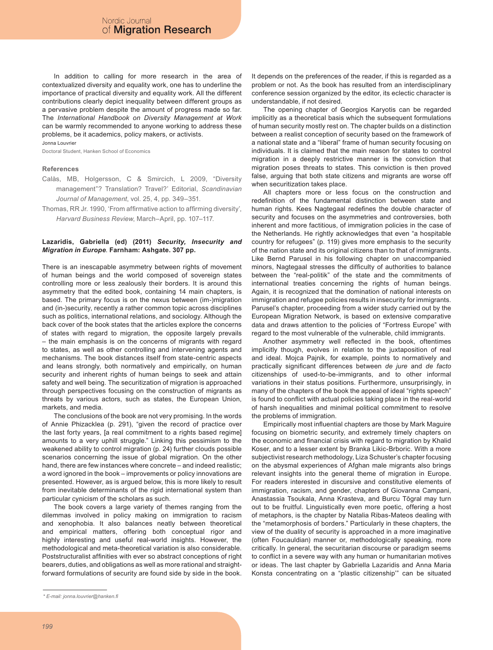In addition to calling for more research in the area of contextualized diversity and equality work, one has to underline the importance of practical diversity and equality work. All the different contributions clearly depict inequality between different groups as a pervasive problem despite the amount of progress made so far. The *International Handbook on Diversity Management at Work* can be warmly recommended to anyone working to address these problems, be it academics, policy makers, or activists.

Jonna Louvrier

Doctoral Student, Hanken School of Economics

#### **References**

- <span id="page-7-1"></span>Calàs, MB, Holgersson, C & Smircich, L 2009, "Diversity management"? Translation? Travel?' Editorial, *Scandinavian Journal of Management*, vol. 25, 4, pp. 349–351.
- <span id="page-7-0"></span>Thomas, RR Jr. 1990, 'From affirmative action to affirming diversity', *Harvard Business Review*, March–April, pp. 107–117.

#### **Lazaridis, Gabriella (ed) (2011)** *Security, Insecurity and Migration in Europe*. **Farnham: Ashgate. 307 pp.**

There is an inescapable asymmetry between rights of movement of human beings and the world composed of sovereign states controlling more or less zealously their borders. It is around this asymmetry that the edited book, containing 14 main chapters, is based. The primary focus is on the nexus between (im-)migration and (in-)security, recently a rather common topic across disciplines such as politics, international relations, and sociology. Although the back cover of the book states that the articles explore the concerns of states with regard to migration, the opposite largely prevails – the main emphasis is on the concerns of migrants with regard to states, as well as other controlling and intervening agents and mechanisms. The book distances itself from state-centric aspects and leans strongly, both normatively and empirically, on human security and inherent rights of human beings to seek and attain safety and well being. The securitization of migration is approached through perspectives focusing on the construction of migrants as threats by various actors, such as states, the European Union, markets, and media.

The conclusions of the book are not very promising. In the words of Annie Phizacklea (p. 291), "given the record of practice over the last forty years, [a real commitment to a rights based regime] amounts to a very uphill struggle." Linking this pessimism to the weakened ability to control migration (p. 24) further clouds possible scenarios concerning the issue of global migration. On the other hand, there are few instances where concrete – and indeed realistic; a word ignored in the book – improvements or policy innovations are presented. However, as is argued below, this is more likely to result from inevitable determinants of the rigid international system than particular cynicism of the scholars as such.

The book covers a large variety of themes ranging from the dilemmas involved in policy making on immigration to racism and xenophobia. It also balances neatly between theoretical and empirical matters, offering both conceptual rigor and highly interesting and useful real-world insights. However, the methodological and meta-theoretical variation is also considerable. Poststructuralist affinities with ever so abstract conceptions of right bearers, duties, and obligations as well as more rational and straightforward formulations of security are found side by side in the book.

It depends on the preferences of the reader, if this is regarded as a problem or not. As the book has resulted from an interdisciplinary conference session organized by the editor, its eclectic character is understandable, if not desired.

The opening chapter of Georgios Karyotis can be regarded implicitly as a theoretical basis which the subsequent formulations of human security mostly rest on. The chapter builds on a distinction between a realist conception of security based on the framework of a national state and a "liberal" frame of human security focusing on individuals. It is claimed that the main reason for states to control migration in a deeply restrictive manner is the conviction that migration poses threats to states. This conviction is then proved false, arguing that both state citizens and migrants are worse off when securitization takes place.

All chapters more or less focus on the construction and redefinition of the fundamental distinction between state and human rights. Kees Nagtegaal redefines the double character of security and focuses on the asymmetries and controversies, both inherent and more factitious, of immigration policies in the case of the Netherlands. He rightly acknowledges that even "a hospitable country for refugees" (p. 119) gives more emphasis to the security of the nation state and its original citizens than to that of immigrants. Like Bernd Parusel in his following chapter on unaccompanied minors, Nagtegaal stresses the difficulty of authorities to balance between the "real-politik" of the state and the commitments of international treaties concerning the rights of human beings. Again, it is recognized that the domination of national interests on immigration and refugee policies results in insecurity for immigrants. Parusel's chapter, proceeding from a wider study carried out by the European Migration Network, is based on extensive comparative data and draws attention to the policies of "Fortress Europe" with regard to the most vulnerable of the vulnerable, child immigrants.

Another asymmetry well reflected in the book, oftentimes implicitly though, evolves in relation to the juxtaposition of real and ideal. Mojca Pajnik, for example, points to normatively and practically significant differences between *de jure* and *de facto*  citizenships of used-to-be-immigrants, and to other informal variations in their status positions. Furthermore, unsurprisingly, in many of the chapters of the book the appeal of ideal "rights speech" is found to conflict with actual policies taking place in the real-world of harsh inequalities and minimal political commitment to resolve the problems of immigration.

Empirically most influential chapters are those by Mark Maguire focusing on biometric security, and extremely timely chapters on the economic and financial crisis with regard to migration by Khalid Koser, and to a lesser extent by Branka Likic-Brboric. With a more subjectivist research methodology, Liza Schuster's chapter focusing on the abysmal experiences of Afghan male migrants also brings relevant insights into the general theme of migration in Europe. For readers interested in discursive and constitutive elements of immigration, racism, and gender, chapters of Giovanna Campani, Anastassia Tsoukala, Anna Krasteva, and Burcu Tŏgral may turn out to be fruitful. Linguistically even more poetic, offering a host of metaphors, is the chapter by Natalia Ribas-Mateos dealing with the "metamorphosis of borders." Particularly in these chapters, the view of the duality of security is approached in a more imaginative (often Foucauldian) manner or, methodologically speaking, more critically. In general, the securitarian discourse or paradigm seems to conflict in a severe way with any human or humanitarian motives or ideas. The last chapter by Gabriella Lazaridis and Anna Maria Konsta concentrating on a "plastic citizenship'" can be situated

*<sup>\*</sup> E-mail: jonna.louvrier@hanken.fi*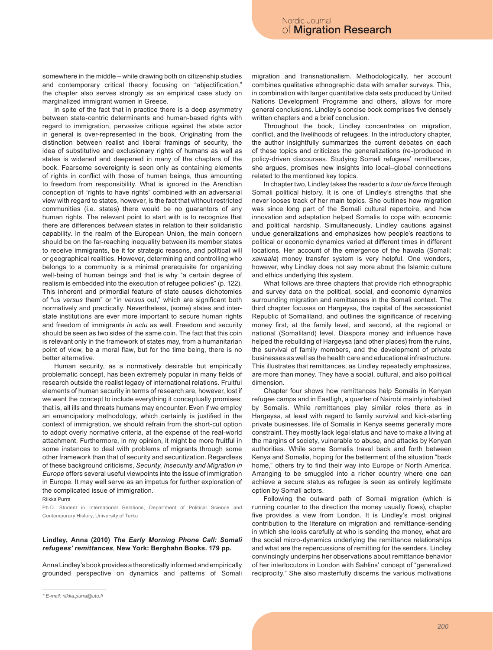somewhere in the middle – while drawing both on citizenship studies and contemporary critical theory focusing on "abjectification," the chapter also serves strongly as an empirical case study on marginalized immigrant women in Greece.

In spite of the fact that in practice there is a deep asymmetry between state-centric determinants and human-based rights with regard to immigration, pervasive critique against the state actor in general is over-represented in the book. Originating from the distinction between realist and liberal framings of security, the idea of substitutive and exclusionary rights of humans as well as states is widened and deepened in many of the chapters of the book. Fearsome sovereignty is seen only as containing elements of rights in conflict with those of human beings, thus amounting to freedom from responsibility. What is ignored in the Arendtian conception of "rights to have rights" combined with an adversarial view with regard to states, however, is the fact that without restricted communities (i.e. states) there would be no guarantors of any human rights. The relevant point to start with is to recognize that there are differences *between* states in relation to their solidaristic capability. In the realm of the European Union, the main concern should be on the far-reaching inequality between its member states to receive immigrants, be it for strategic reasons, and political will or geographical realities. However, determining and controlling who belongs to a community is a minimal prerequisite for organizing well-being of human beings and that is why "a certain degree of realism is embedded into the execution of refugee policies" (p. 122). This inherent and primordial feature of state causes dichotomies of "us *versus* them" or "in *versus* out," which are significant both normatively and practically. Nevertheless, (some) states and interstate institutions are ever more important to secure human rights and freedom of immigrants *in actu* as well. Freedom and security should be seen as two sides of the same coin. The fact that this coin is relevant only in the framework of states may, from a humanitarian point of view, be a moral flaw, but for the time being, there is no better alternative.

Human security, as a normatively desirable but empirically problematic concept, has been extremely popular in many fields of research outside the realist legacy of international relations. Fruitful elements of human security in terms of research are, however, lost if we want the concept to include everything it conceptually promises; that is, all ills and threats humans may encounter. Even if we employ an emancipatory methodology, which certainly is justified in the context of immigration, we should refrain from the short-cut option to adopt overly normative criteria, at the expense of the real-world attachment. Furthermore, in my opinion, it might be more fruitful in some instances to deal with problems of migrants through some other framework than that of security and securitization. Regardless of these background criticisms, *Security, Insecurity and Migration in Europe* offers several useful viewpoints into the issue of immigration in Europe. It may well serve as an impetus for further exploration of the complicated issue of immigration.

Riikka Purra

Ph.D. Student in International Relations, Department of Political Science and Contemporary History, University of Turku

#### **Lindley, Anna (2010)** *The Early Morning Phone Call: Somali refugees' remittances*, **New York: Berghahn Books. 179 pp.**

Anna Lindley's book provides a theoretically informed and empirically grounded perspective on dynamics and patterns of Somali migration and transnationalism. Methodologically, her account combines qualitative ethnographic data with smaller surveys. This, in combination with larger quantitative data sets produced by United Nations Development Programme and others, allows for more general conclusions. Lindley's concise book comprises five densely written chapters and a brief conclusion.

Throughout the book, Lindley concentrates on migration, conflict, and the livelihoods of refugees. In the introductory chapter, the author insightfully summarizes the current debates on each of these topics and criticizes the generalizations (re-)produced in policy-driven discourses. Studying Somali refugees' remittances, she argues, promises new insights into local–global connections related to the mentioned key topics.

In chapter two, Lindley takes the reader to a *tour de force* through Somali political history. It is one of Lindley's strengths that she never looses track of her main topics. She outlines how migration was since long part of the Somali cultural repertoire, and how innovation and adaptation helped Somalis to cope with economic and political hardship. Simultaneously, Lindley cautions against undue generalizations and emphasizes how people's reactions to political or economic dynamics varied at different times in different locations. Her account of the emergence of the hawala (Somali: *xawaala*) money transfer system is very helpful. One wonders, however, why Lindley does not say more about the Islamic culture and ethics underlying this system.

What follows are three chapters that provide rich ethnographic and survey data on the political, social, and economic dynamics surrounding migration and remittances in the Somali context. The third chapter focuses on Hargeysa, the capital of the secessionist Republic of Somaliland, and outlines the significance of receiving money first, at the family level, and second, at the regional or national (Somaliland) level. Diaspora money and influence have helped the rebuilding of Hargeysa (and other places) from the ruins, the survival of family members, and the development of private businesses as well as the health care and educational infrastructure. This illustrates that remittances, as Lindley repeatedly emphasizes, are more than money. They have a social, cultural, and also political dimension.

Chapter four shows how remittances help Somalis in Kenyan refugee camps and in Eastligh, a quarter of Nairobi mainly inhabited by Somalis. While remittances play similar roles there as in Hargeysa, at least with regard to family survival and kick-starting private businesses, life of Somalis in Kenya seems generally more constraint. They mostly lack legal status and have to make a living at the margins of society, vulnerable to abuse, and attacks by Kenyan authorities. While some Somalis travel back and forth between Kenya and Somalia, hoping for the betterment of the situation "back home," others try to find their way into Europe or North America. Arranging to be smuggled into a richer country where one can achieve a secure status as refugee is seen as entirely legitimate option by Somali actors.

Following the outward path of Somali migration (which is running counter to the direction the money usually flows), chapter five provides a view from London. It is Lindley's most original contribution to the literature on migration and remittance-sending in which she looks carefully at who is sending the money, what are the social micro-dynamics underlying the remittance relationships and what are the repercussions of remitting for the senders. Lindley convincingly underpins her observations about remittance behavior of her interlocutors in London with Sahlins' concept of "generalized reciprocity." She also masterfully discerns the various motivations

*<sup>\*</sup> E-mail: riikka.purra@utu.fi*